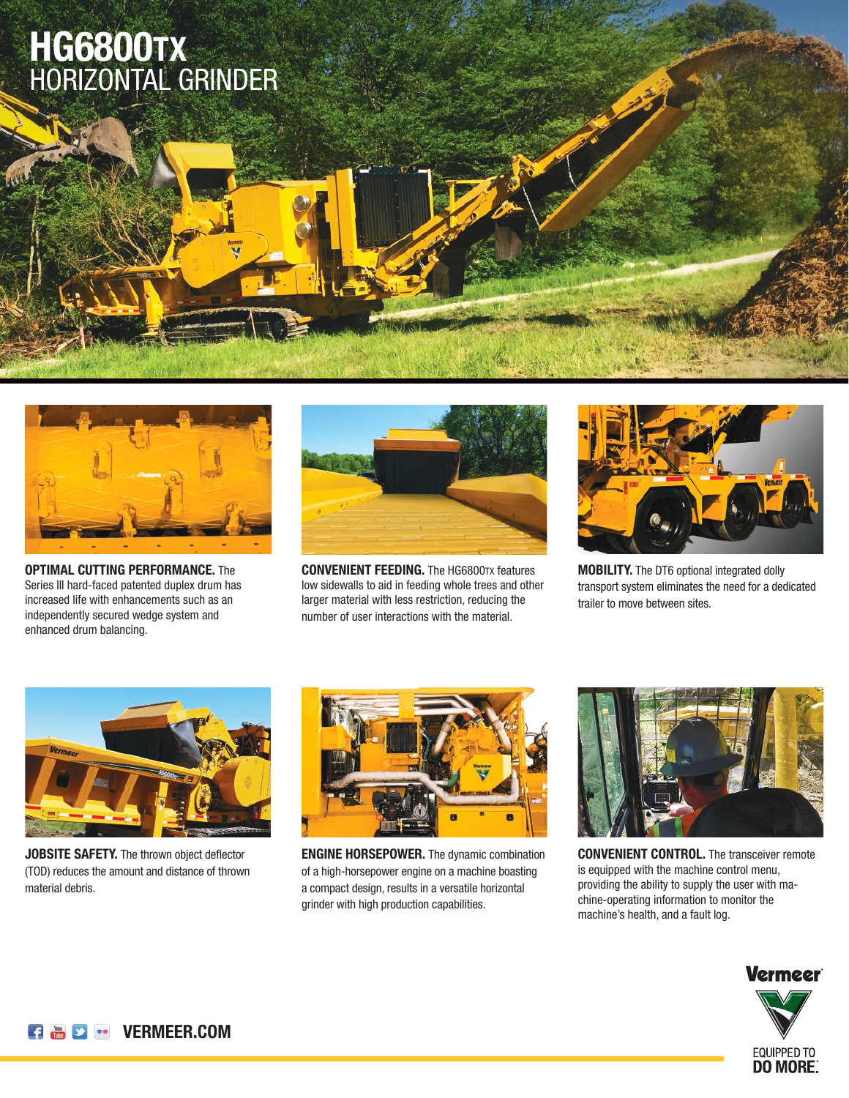## HORIZONTAL GRINDER **HG6800TX**



**OPTIMAL CUTTING PERFORMANCE.** The Series III hard-faced patented duplex drum has increased life with enhancements such as an independently secured wedge system and enhanced drum balancing.



**CONVENIENT FEEDING.** The HG6800TX features low sidewalls to aid in feeding whole trees and other larger material with less restriction, reducing the number of user interactions with the material.



**MOBILITY.** The DT6 optional integrated dolly transport system eliminates the need for a dedicated trailer to move between sites.



**JOBSITE SAFETY.** The thrown object deflector (TOD) reduces the amount and distance of thrown material debris.



**ENGINE HORSEPOWER.** The dynamic combination of a high-horsepower engine on a machine boasting a compact design, results in a versatile horizontal grinder with high production capabilities.



**CONVENIENT CONTROL.** The transceiver remote is equipped with the machine control menu, providing the ability to supply the user with machine-operating information to monitor the machine's health, and a fault log.